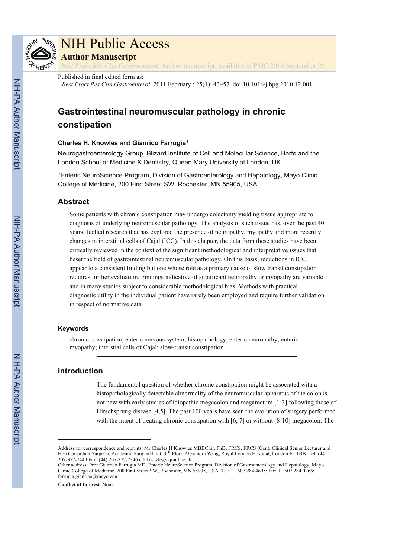

# NIH Public Access

**Author Manuscript**

*Best Pract Res Clin Gastroenterol*. Author manuscript; available in PMC 2014 September 25.

### Published in final edited form as:

*Best Pract Res Clin Gastroenterol*. 2011 February ; 25(1): 43–57. doi:10.1016/j.bpg.2010.12.001.

# **Gastrointestinal neuromuscular pathology in chronic constipation**

### **Charles H. Knowles** and **Gianrico Farrugia**<sup>1</sup>

Neurogastroenterology Group, Blizard Institute of Cell and Molecular Science, Barts and the London School of Medicine & Dentistry, Queen Mary University of London, UK

<sup>1</sup>Enteric NeuroScience Program, Division of Gastroenterology and Hepatology, Mayo Clinic College of Medicine, 200 First Street SW, Rochester, MN 55905, USA

### **Abstract**

Some patients with chronic constipation may undergo colectomy yielding tissue appropriate to diagnosis of underlying neuromuscular pathology. The analysis of such tissue has, over the past 40 years, fuelled research that has explored the presence of neuropathy, myopathy and more recently changes in interstitial cells of Cajal (ICC). In this chapter, the data from these studies have been critically reviewed in the context of the significant methodological and interpretative issues that beset the field of gastrointestinal neuromuscular pathology. On this basis, reductions in ICC appear to a consistent finding but one whose role as a primary cause of slow transit constipation requires further evaluation. Findings indicative of significant neuropathy or myopathy are variable and in many studies subject to considerable methodological bias. Methods with practical diagnostic utility in the individual patient have rarely been employed and require further validation in respect of normative data.

### **Keywords**

chronic constipation; enteric nervous system; histopathology; enteric neuropathy; enteric myopathy; interstial cells of Cajal; slow-transit constipation

### **Introduction**

The fundamental question of whether chronic constipation might be associated with a histopathologically detectable abnormality of the neuromuscular apparatus of the colon is not new with early studies of idiopathic megacolon and megarectum [1-3] following those of Hirschsprung disease [4,5]. The past 100 years have seen the evolution of surgery performed with the intent of treating chronic constipation with [6, 7] or without [8-10] megacolon. The

Address for correspondence and reprints: Mr Charles H Knowles MBBChir, PhD, FRCS, FRCS (Gen), Clinical Senior Lecturer and<br>Hon Consultant Surgeon, Academic Surgical Unit, 3<sup>rd</sup> Floor Alexandra Wing, Royal London Hospital, 207-377-7449 Fax: (44) 207-377-7346 c.h.knowles@qmul.ac.uk.

Other address: Prof Gianrico Farrugia MD, Enteric NeuroScience Program, Division of Gastroenterology and Hepatology, Mayo Clinic College of Medicine, 200 First Street SW, Rochester, MN 55905, USA. Tel: +1 507 284 4695; fax: +1 507 284 0266; farrugia.gianrico@mayo.edu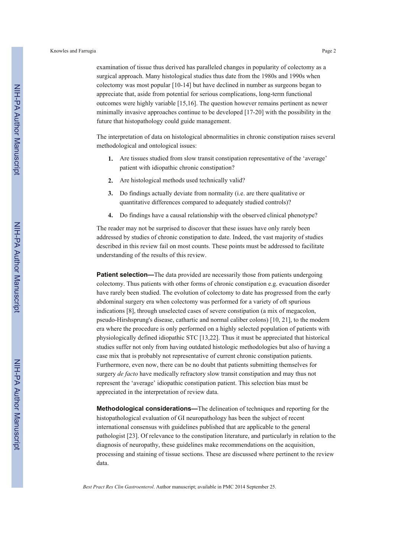examination of tissue thus derived has paralleled changes in popularity of colectomy as a surgical approach. Many histological studies thus date from the 1980s and 1990s when colectomy was most popular [10-14] but have declined in number as surgeons began to appreciate that, aside from potential for serious complications, long-term functional outcomes were highly variable [15,16]. The question however remains pertinent as newer minimally invasive approaches continue to be developed [17-20] with the possibility in the future that histopathology could guide management.

The interpretation of data on histological abnormalities in chronic constipation raises several methodological and ontological issues:

- **1.** Are tissues studied from slow transit constipation representative of the 'average' patient with idiopathic chronic constipation?
- **2.** Are histological methods used technically valid?
- **3.** Do findings actually deviate from normality (i.e. are there qualitative or quantitative differences compared to adequately studied controls)?
- **4.** Do findings have a causal relationship with the observed clinical phenotype?

The reader may not be surprised to discover that these issues have only rarely been addressed by studies of chronic constipation to date. Indeed, the vast majority of studies described in this review fail on most counts. These points must be addressed to facilitate understanding of the results of this review.

**Patient selection—**The data provided are necessarily those from patients undergoing colectomy. Thus patients with other forms of chronic constipation e.g. evacuation disorder have rarely been studied. The evolution of colectomy to date has progressed from the early abdominal surgery era when colectomy was performed for a variety of oft spurious indications [8], through unselected cases of severe constipation (a mix of megacolon, pseudo-Hirshsprung's disease, cathartic and normal caliber colons) [10, 21], to the modern era where the procedure is only performed on a highly selected population of patients with physiologically defined idiopathic STC [13,22]. Thus it must be appreciated that historical studies suffer not only from having outdated histologic methodologies but also of having a case mix that is probably not representative of current chronic constipation patients. Furthermore, even now, there can be no doubt that patients submitting themselves for surgery *de facto* have medically refractory slow transit constipation and may thus not represent the 'average' idiopathic constipation patient. This selection bias must be appreciated in the interpretation of review data.

**Methodological considerations—**The delineation of techniques and reporting for the histopathological evaluation of GI neuropathology has been the subject of recent international consensus with guidelines published that are applicable to the general pathologist [23]. Of relevance to the constipation literature, and particularly in relation to the diagnosis of neuropathy, these guidelines make recommendations on the acquisition, processing and staining of tissue sections. These are discussed where pertinent to the review data.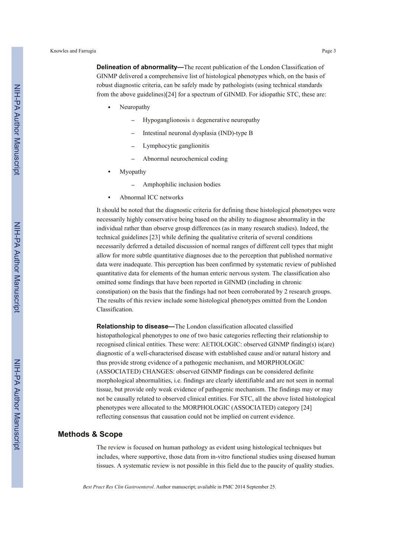**Delineation of abnormality—**The recent publication of the London Classification of GINMP delivered a comprehensive list of histological phenotypes which, on the basis of robust diagnostic criteria, can be safely made by pathologists (using technical standards from the above guidelines)[24] for a spectrum of GINMD. For idiopathic STC, these are:

- **•** Neuropathy
	- $Hypoganglionosis \pm degenerative$  neuropathy
	- **–** Intestinal neuronal dysplasia (IND)-type B
	- **–** Lymphocytic ganglionitis
	- **–** Abnormal neurochemical coding
- **•** Myopathy
	- **–** Amphophilic inclusion bodies
- **•** Abnormal ICC networks

It should be noted that the diagnostic criteria for defining these histological phenotypes were necessarily highly conservative being based on the ability to diagnose abnormality in the individual rather than observe group differences (as in many research studies). Indeed, the technical guidelines [23] while defining the qualitative criteria of several conditions necessarily deferred a detailed discussion of normal ranges of different cell types that might allow for more subtle quantitative diagnoses due to the perception that published normative data were inadequate. This perception has been confirmed by systematic review of published quantitative data for elements of the human enteric nervous system. The classification also omitted some findings that have been reported in GINMD (including in chronic constipation) on the basis that the findings had not been corroborated by 2 research groups. The results of this review include some histological phenotypes omitted from the London Classification.

**Relationship to disease—**The London classification allocated classified histopathological phenotypes to one of two basic categories reflecting their relationship to recognised clinical entities. These were: AETIOLOGIC: observed GINMP finding(s) is(are) diagnostic of a well-characterised disease with established cause and/or natural history and thus provide strong evidence of a pathogenic mechanism, and MORPHOLOGIC (ASSOCIATED) CHANGES: observed GINMP findings can be considered definite morphological abnormalities, i.e. findings are clearly identifiable and are not seen in normal tissue, but provide only weak evidence of pathogenic mechanism. The findings may or may not be causally related to observed clinical entities. For STC, all the above listed histological phenotypes were allocated to the MORPHOLOGIC (ASSOCIATED) category [24] reflecting consensus that causation could not be implied on current evidence.

### **Methods & Scope**

The review is focused on human pathology as evident using histological techniques but includes, where supportive, those data from in-vitro functional studies using diseased human tissues. A systematic review is not possible in this field due to the paucity of quality studies.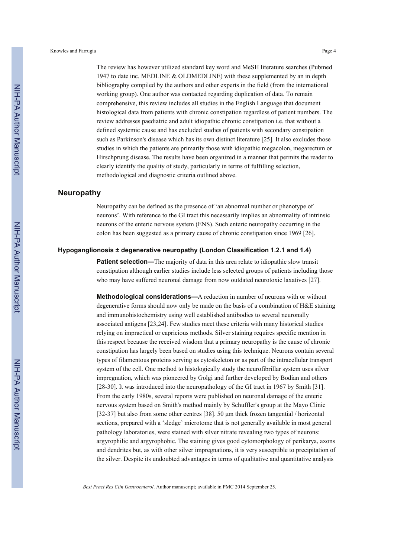The review has however utilized standard key word and MeSH literature searches (Pubmed 1947 to date inc. MEDLINE & OLDMEDLINE) with these supplemented by an in depth bibliography compiled by the authors and other experts in the field (from the international working group). One author was contacted regarding duplication of data. To remain comprehensive, this review includes all studies in the English Language that document histological data from patients with chronic constipation regardless of patient numbers. The review addresses paediatric and adult idiopathic chronic constipation i.e. that without a defined systemic cause and has excluded studies of patients with secondary constipation such as Parkinson's disease which has its own distinct literature [25]. It also excludes those studies in which the patients are primarily those with idiopathic megacolon, megarectum or Hirschprung disease. The results have been organized in a manner that permits the reader to clearly identify the quality of study, particularly in terms of fulfilling selection, methodological and diagnostic criteria outlined above.

### **Neuropathy**

Neuropathy can be defined as the presence of 'an abnormal number or phenotype of neurons'. With reference to the GI tract this necessarily implies an abnormality of intrinsic neurons of the enteric nervous system (ENS). Such enteric neuropathy occurring in the colon has been suggested as a primary cause of chronic constipation since 1969 [26].

### **Hypoganglionosis ± degenerative neuropathy (London Classification 1.2.1 and 1.4)**

**Patient selection—**The majority of data in this area relate to idiopathic slow transit constipation although earlier studies include less selected groups of patients including those who may have suffered neuronal damage from now outdated neurotoxic laxatives [27].

**Methodological considerations—**A reduction in number of neurons with or without degenerative forms should now only be made on the basis of a combination of H&E staining and immunohistochemistry using well established antibodies to several neuronally associated antigens [23,24]. Few studies meet these criteria with many historical studies relying on impractical or capricious methods. Silver staining requires specific mention in this respect because the received wisdom that a primary neuropathy is the cause of chronic constipation has largely been based on studies using this technique. Neurons contain several types of filamentous proteins serving as cytoskeleton or as part of the intracellular transport system of the cell. One method to histologically study the neurofibrillar system uses silver impregnation, which was pioneered by Golgi and further developed by Bodian and others [28-30]. It was introduced into the neuropathology of the GI tract in 1967 by Smith [31]. From the early 1980s, several reports were published on neuronal damage of the enteric nervous system based on Smith's method mainly by Schuffler's group at the Mayo Clinic [32-37] but also from some other centres [38]. 50 µm thick frozen tangential / horizontal sections, prepared with a 'sledge' microtome that is not generally available in most general pathology laboratories, were stained with silver nitrate revealing two types of neurons: argyrophilic and argyrophobic. The staining gives good cytomorphology of perikarya, axons and dendrites but, as with other silver impregnations, it is very susceptible to precipitation of the silver. Despite its undoubted advantages in terms of qualitative and quantitative analysis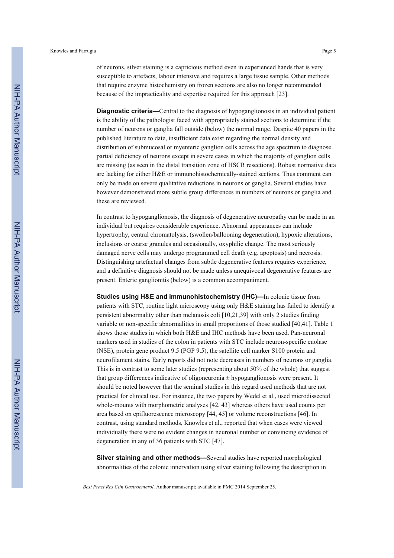of neurons, silver staining is a capricious method even in experienced hands that is very susceptible to artefacts, labour intensive and requires a large tissue sample. Other methods that require enzyme histochemistry on frozen sections are also no longer recommended because of the impracticality and expertise required for this approach [23].

**Diagnostic criteria—**Central to the diagnosis of hypoganglionosis in an individual patient is the ability of the pathologist faced with appropriately stained sections to determine if the number of neurons or ganglia fall outside (below) the normal range. Despite 40 papers in the published literature to date, insufficient data exist regarding the normal density and distribution of submucosal or myenteric ganglion cells across the age spectrum to diagnose partial deficiency of neurons except in severe cases in which the majority of ganglion cells are missing (as seen in the distal transition zone of HSCR resections). Robust normative data are lacking for either H&E or immunohistochemically-stained sections. Thus comment can only be made on severe qualitative reductions in neurons or ganglia. Several studies have however demonstrated more subtle group differences in numbers of neurons or ganglia and these are reviewed.

In contrast to hypoganglionosis, the diagnosis of degenerative neuropathy can be made in an individual but requires considerable experience. Abnormal appearances can include hypertrophy, central chromatolysis, (swollen/ballooning degeneration), hypoxic alterations, inclusions or coarse granules and occasionally, oxyphilic change. The most seriously damaged nerve cells may undergo programmed cell death (e.g. apoptosis) and necrosis. Distinguishing artefactual changes from subtle degenerative features requires experience, and a definitive diagnosis should not be made unless unequivocal degenerative features are present. Enteric ganglionitis (below) is a common accompaniment.

**Studies using H&E and immunohistochemistry (IHC)—**In colonic tissue from patients with STC, routine light microscopy using only H&E staining has failed to identify a persistent abnormality other than melanosis coli [10,21,39] with only 2 studies finding variable or non-specific abnormalities in small proportions of those studied [40,41]. Table 1 shows those studies in which both H&E and IHC methods have been used. Pan-neuronal markers used in studies of the colon in patients with STC include neuron-specific enolase (NSE), protein gene product 9.5 (PGP 9.5), the satellite cell marker S100 protein and neurofilament stains. Early reports did not note decreases in numbers of neurons or ganglia. This is in contrast to some later studies (representing about 50% of the whole) that suggest that group differences indicative of oligoneuronia  $\pm$  hypoganglionosis were present. It should be noted however that the seminal studies in this regard used methods that are not practical for clinical use. For instance, the two papers by Wedel et al., used microdissected whole-mounts with morphometric analyses [42, 43] whereas others have used counts per area based on epifluorescence microscopy [44, 45] or volume reconstructions [46]. In contrast, using standard methods, Knowles et al., reported that when cases were viewed individually there were no evident changes in neuronal number or convincing evidence of degeneration in any of 36 patients with STC [47].

**Silver staining and other methods—**Several studies have reported morphological abnormalities of the colonic innervation using silver staining following the description in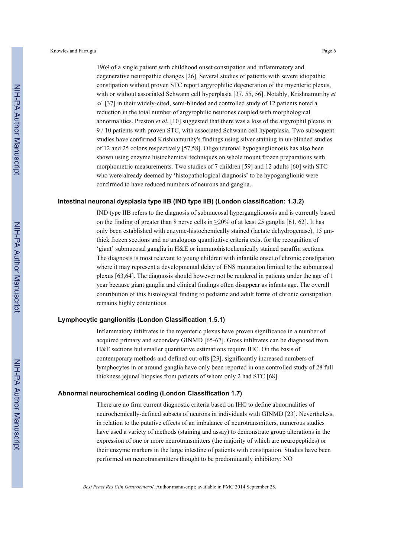1969 of a single patient with childhood onset constipation and inflammatory and degenerative neuropathic changes [26]. Several studies of patients with severe idiopathic constipation without proven STC report argyrophilic degeneration of the myenteric plexus, with or without associated Schwann cell hyperplasia [37, 55, 56]. Notably, Krishnamurthy *et al.* [37] in their widely-cited, semi-blinded and controlled study of 12 patients noted a reduction in the total number of argyrophilic neurones coupled with morphological abnormalities. Preston *et al.* [10] suggested that there was a loss of the argyrophil plexus in 9 / 10 patients with proven STC, with associated Schwann cell hyperplasia. Two subsequent studies have confirmed Krishnamurthy's findings using silver staining in un-blinded studies of 12 and 25 colons respectively [57,58]. Oligoneuronal hypoganglionosis has also been shown using enzyme histochemical techniques on whole mount frozen preparations with morphometric measurements. Two studies of 7 children [59] and 12 adults [60] with STC who were already deemed by 'histopathological diagnosis' to be hypoganglionic were confirmed to have reduced numbers of neurons and ganglia.

### **Intestinal neuronal dysplasia type IIB (IND type IIB) (London classification: 1.3.2)**

IND type IIB refers to the diagnosis of submucosal hyperganglionosis and is currently based on the finding of greater than 8 nerve cells in  $\geq$ 20% of at least 25 ganglia [61, 62]. It has only been established with enzyme-histochemically stained (lactate dehydrogenase), 15  $\mu$ mthick frozen sections and no analogous quantitative criteria exist for the recognition of 'giant' submucosal ganglia in H&E or immunohistochemically stained paraffin sections. The diagnosis is most relevant to young children with infantile onset of chronic constipation where it may represent a developmental delay of ENS maturation limited to the submucosal plexus [63,64]. The diagnosis should however not be rendered in patients under the age of 1 year because giant ganglia and clinical findings often disappear as infants age. The overall contribution of this histological finding to pediatric and adult forms of chronic constipation remains highly contentious.

### **Lymphocytic ganglionitis (London Classification 1.5.1)**

Inflammatory infiltrates in the myenteric plexus have proven significance in a number of acquired primary and secondary GINMD [65-67]. Gross infiltrates can be diagnosed from H&E sections but smaller quantitative estimations require IHC. On the basis of contemporary methods and defined cut-offs [23], significantly increased numbers of lymphocytes in or around ganglia have only been reported in one controlled study of 28 full thickness jejunal biopsies from patients of whom only 2 had STC [68].

### **Abnormal neurochemical coding (London Classification 1.7)**

There are no firm current diagnostic criteria based on IHC to define abnormalities of neurochemically-defined subsets of neurons in individuals with GINMD [23]. Nevertheless, in relation to the putative effects of an imbalance of neurotransmitters, numerous studies have used a variety of methods (staining and assay) to demonstrate group alterations in the expression of one or more neurotransmitters (the majority of which are neuropeptides) or their enzyme markers in the large intestine of patients with constipation. Studies have been performed on neurotransmitters thought to be predominantly inhibitory: NO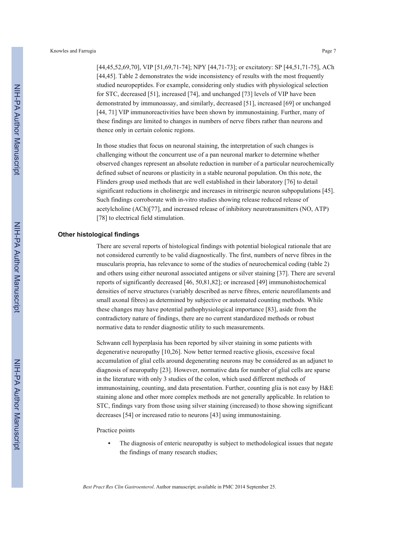[44,45,52,69,70], VIP [51,69,71-74]; NPY [44,71-73]; or excitatory: SP [44,51,71-75], ACh [44,45]. Table 2 demonstrates the wide inconsistency of results with the most frequently studied neuropeptides. For example, considering only studies with physiological selection for STC, decreased [51], increased [74], and unchanged [73] levels of VIP have been demonstrated by immunoassay, and similarly, decreased [51], increased [69] or unchanged [44, 71] VIP immunoreactivities have been shown by immunostaining. Further, many of these findings are limited to changes in numbers of nerve fibers rather than neurons and thence only in certain colonic regions.

In those studies that focus on neuronal staining, the interpretation of such changes is challenging without the concurrent use of a pan neuronal marker to determine whether observed changes represent an absolute reduction in number of a particular neurochemically defined subset of neurons or plasticity in a stable neuronal population. On this note, the Flinders group used methods that are well established in their laboratory [76] to detail significant reductions in cholinergic and increases in nitrinergic neuron subpopulations [45]. Such findings corroborate with in-vitro studies showing release reduced release of acetylcholine (ACh)[77], and increased release of inhibitory neurotransmitters (NO, ATP) [78] to electrical field stimulation.

### **Other histological findings**

There are several reports of histological findings with potential biological rationale that are not considered currently to be valid diagnostically. The first, numbers of nerve fibres in the muscularis propria, has relevance to some of the studies of neurochemical coding (table 2) and others using either neuronal associated antigens or silver staining [37]. There are several reports of significantly decreased [46, 50,81,82]; or increased [49] immunohistochemical densities of nerve structures (variably described as nerve fibres, enteric neurofilaments and small axonal fibres) as determined by subjective or automated counting methods. While these changes may have potential pathophysiological importance [83], aside from the contradictory nature of findings, there are no current standardized methods or robust normative data to render diagnostic utility to such measurements.

Schwann cell hyperplasia has been reported by silver staining in some patients with degenerative neuropathy [10,26]. Now better termed reactive gliosis, excessive focal accumulation of glial cells around degenerating neurons may be considered as an adjunct to diagnosis of neuropathy [23]. However, normative data for number of glial cells are sparse in the literature with only 3 studies of the colon, which used different methods of immunostaining, counting, and data presentation. Further, counting glia is not easy by H&E staining alone and other more complex methods are not generally applicable. In relation to STC, findings vary from those using silver staining (increased) to those showing significant decreases [54] or increased ratio to neurons [43] using immunostaining.

Practice points

• The diagnosis of enteric neuropathy is subject to methodological issues that negate the findings of many research studies;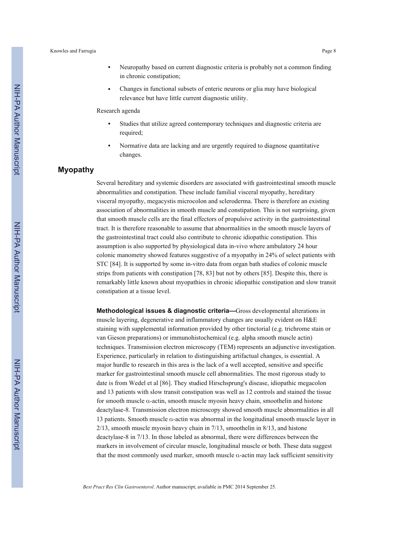- **•** Neuropathy based on current diagnostic criteria is probably not a common finding in chronic constipation;
- **•** Changes in functional subsets of enteric neurons or glia may have biological relevance but have little current diagnostic utility.

### Research agenda

- **•** Studies that utilize agreed contemporary techniques and diagnostic criteria are required;
- **•** Normative data are lacking and are urgently required to diagnose quantitative changes.

### **Myopathy**

Several hereditary and systemic disorders are associated with gastrointestinal smooth muscle abnormalities and constipation. These include familial visceral myopathy, hereditary visceral myopathy, megacystis microcolon and scleroderma. There is therefore an existing association of abnormalities in smooth muscle and constipation. This is not surprising, given that smooth muscle cells are the final effectors of propulsive activity in the gastrointestinal tract. It is therefore reasonable to assume that abnormalities in the smooth muscle layers of the gastrointestinal tract could also contribute to chronic idiopathic constipation. This assumption is also supported by physiological data in-vivo where ambulatory 24 hour colonic manometry showed features suggestive of a myopathy in 24% of select patients with STC [84]. It is supported by some in-vitro data from organ bath studies of colonic muscle strips from patients with constipation [78, 83] but not by others [85]. Despite this, there is remarkably little known about myopathies in chronic idiopathic constipation and slow transit constipation at a tissue level.

**Methodological issues & diagnostic criteria—**Gross developmental alterations in muscle layering, degenerative and inflammatory changes are usually evident on H&E staining with supplemental information provided by other tinctorial (e.g. trichrome stain or van Gieson preparations) or immunohistochemical (e.g. alpha smooth muscle actin) techniques. Transmission electron microscopy (TEM) represents an adjunctive investigation. Experience, particularly in relation to distinguishing artifactual changes, is essential. A major hurdle to research in this area is the lack of a well accepted, sensitive and specific marker for gastrointestinal smooth muscle cell abnormalities. The most rigorous study to date is from Wedel et al [86]. They studied Hirschsprung's disease, idiopathic megacolon and 13 patients with slow transit constipation was well as 12 controls and stained the tissue for smooth muscle  $\alpha$ -actin, smooth muscle myosin heavy chain, smoothelin and histone deactylase-8. Transmission electron microscopy showed smooth muscle abnormalities in all 13 patients. Smooth muscle  $\alpha$ -actin was abnormal in the longitudinal smooth muscle layer in 2/13, smooth muscle myosin heavy chain in 7/13, smoothelin in 8/13, and histone deactylase-8 in 7/13. In those labeled as abnormal, there were differences between the markers in involvement of circular muscle, longitudinal muscle or both. These data suggest that the most commonly used marker, smooth muscle  $\alpha$ -actin may lack sufficient sensitivity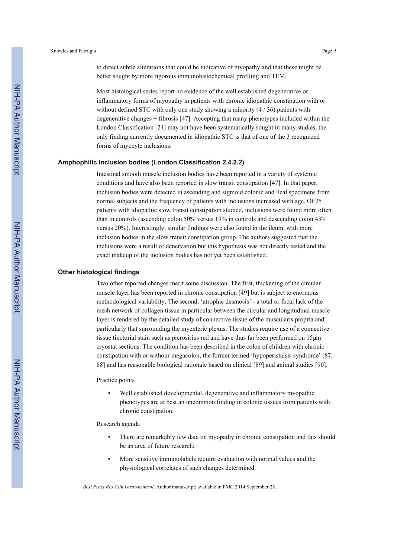to detect subtle alterations that could be indicative of myopathy and that these might be better sought by more rigorous immunohistochemical profiling and TEM.

Most histological series report no evidence of the well established degenerative or inflammatory forms of myopathy in patients with chronic idiopathic constipation with or without defined STC with only one study showing a minority  $(4/36)$  patients with degenerative changes  $\pm$  fibrosis [47]. Accepting that many phenotypes included within the London Classification [24] may not have been systematically sought in many studies, the only finding currently documented in idiopathic STC is that of one of the 3 recognized forms of myocyte inclusions.

### **Amphophilic inclusion bodies (London Classification 2.4.2.2)**

Intestinal smooth muscle inclusion bodies have been reported in a variety of systemic conditions and have also been reported in slow transit constipation [47]. In that paper, inclusion bodies were detected in ascending and sigmoid colonic and ileal specimens from normal subjects and the frequency of patients with inclusions increased with age. Of 25 patients with idiopathic slow transit constipation studied, inclusions were found more often than in controls (ascending colon 50% versus 19% in controls and descending colon 43% versus 20%). Interestingly, similar findings were also found in the ileum, with more inclusion bodies in the slow transit constipation group. The authors suggested that the inclusions were a result of denervation but this hypothesis was not directly tested and the exact makeup of the inclusion bodies has not yet been established.

### **Other histological findings**

Two other reported changes merit some discussion. The first, thickening of the circular muscle layer has been reported in chronic constipation [49] but is subject to enormous methodological variability. The second, 'atrophic desmosis' - a total or focal lack of the mesh network of collagen tissue in particular between the circular and longitudinal muscle layer is rendered by the detailed study of connective tissue of the muscularis propria and particularly that surrounding the myenteric plexus. The studies require use of a connective tissue tinctorial stain such as picrosirius red and have thus far been performed on 15µm cryostat sections. The condition has been described in the colon of children with chronic constipation with or withour megacolon, the former termed 'hypoperistalsis syndrome' [87, 88] and has reasonable biological rationale based on clinical [89] and animal studies [90].

### Practice points

**•** Well established developmental, degenerative and inflammatory myopathic phenotypes are at best an uncommon finding in colonic tissues from patients with chronic constipation.

Research agenda

- There are remarkably few data on myopathy in chronic constipation and this should be an area of future research;
- **•** More sensitive immunolabels require evaluation with normal values and the physiological correlates of such changes determined.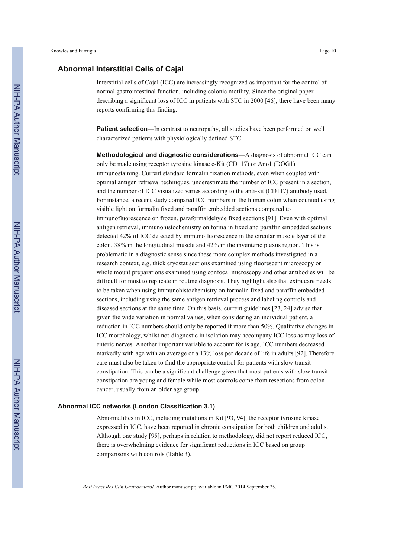## **Abnormal Interstitial Cells of Cajal**

Interstitial cells of Cajal (ICC) are increasingly recognized as important for the control of normal gastrointestinal function, including colonic motility. Since the original paper describing a significant loss of ICC in patients with STC in 2000 [46], there have been many reports confirming this finding.

**Patient selection—**In contrast to neuropathy, all studies have been performed on well characterized patients with physiologically defined STC.

**Methodological and diagnostic considerations—**A diagnosis of abnormal ICC can only be made using receptor tyrosine kinase c-Kit (CD117) or Ano1 (DOG1) immunostaining. Current standard formalin fixation methods, even when coupled with optimal antigen retrieval techniques, underestimate the number of ICC present in a section, and the number of ICC visualized varies according to the anti-kit (CD117) antibody used. For instance, a recent study compared ICC numbers in the human colon when counted using visible light on formalin fixed and paraffin embedded sections compared to immunofluorescence on frozen, paraformaldehyde fixed sections [91]. Even with optimal antigen retrieval, immunohistochemistry on formalin fixed and paraffin embedded sections detected 42% of ICC detected by immunofluorescence in the circular muscle layer of the colon, 38% in the longitudinal muscle and 42% in the myenteric plexus region. This is problematic in a diagnostic sense since these more complex methods investigated in a research context, e.g. thick cryostat sections examined using fluorescent microscopy or whole mount preparations examined using confocal microscopy and other antibodies will be difficult for most to replicate in routine diagnosis. They highlight also that extra care needs to be taken when using immunohistochemistry on formalin fixed and paraffin embedded sections, including using the same antigen retrieval process and labeling controls and diseased sections at the same time. On this basis, current guidelines [23, 24] advise that given the wide variation in normal values, when considering an individual patient, a reduction in ICC numbers should only be reported if more than 50%. Qualitative changes in ICC morphology, whilst not-diagnostic in isolation may accompany ICC loss as may loss of enteric nerves. Another important variable to account for is age. ICC numbers decreased markedly with age with an average of a 13% loss per decade of life in adults [92]. Therefore care must also be taken to find the appropriate control for patients with slow transit constipation. This can be a significant challenge given that most patients with slow transit constipation are young and female while most controls come from resections from colon cancer, usually from an older age group.

### **Abnormal ICC networks (London Classification 3.1)**

Abnormalities in ICC, including mutations in Kit [93, 94], the receptor tyrosine kinase expressed in ICC, have been reported in chronic constipation for both children and adults. Although one study [95], perhaps in relation to methodology, did not report reduced ICC, there is overwhelming evidence for significant reductions in ICC based on group comparisons with controls (Table 3).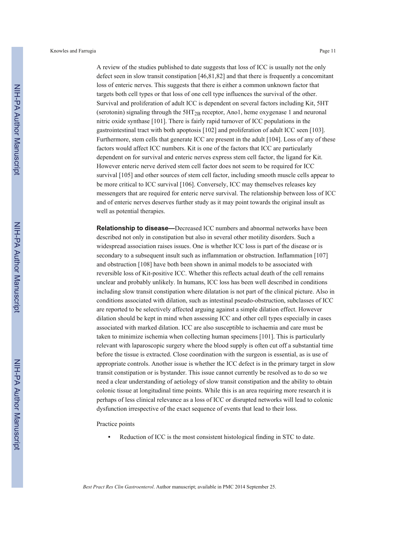A review of the studies published to date suggests that loss of ICC is usually not the only defect seen in slow transit constipation [46,81,82] and that there is frequently a concomitant loss of enteric nerves. This suggests that there is either a common unknown factor that targets both cell types or that loss of one cell type influences the survival of the other. Survival and proliferation of adult ICC is dependent on several factors including Kit, 5HT (serotonin) signaling through the  $5HT_{2B}$  receptor, Ano1, heme oxygenase 1 and neuronal nitric oxide synthase [101]. There is fairly rapid turnover of ICC populations in the gastrointestinal tract with both apoptosis [102] and proliferation of adult ICC seen [103]. Furthermore, stem cells that generate ICC are present in the adult [104]. Loss of any of these factors would affect ICC numbers. Kit is one of the factors that ICC are particularly dependent on for survival and enteric nerves express stem cell factor, the ligand for Kit. However enteric nerve derived stem cell factor does not seem to be required for ICC survival [105] and other sources of stem cell factor, including smooth muscle cells appear to be more critical to ICC survival [106]. Conversely, ICC may themselves releases key messengers that are required for enteric nerve survival. The relationship between loss of ICC and of enteric nerves deserves further study as it may point towards the original insult as well as potential therapies.

**Relationship to disease—**Decreased ICC numbers and abnormal networks have been described not only in constipation but also in several other motility disorders. Such a widespread association raises issues. One is whether ICC loss is part of the disease or is secondary to a subsequent insult such as inflammation or obstruction. Inflammation [107] and obstruction [108] have both been shown in animal models to be associated with reversible loss of Kit-positive ICC. Whether this reflects actual death of the cell remains unclear and probably unlikely. In humans, ICC loss has been well described in conditions including slow transit constipation where dilatation is not part of the clinical picture. Also in conditions associated with dilation, such as intestinal pseudo-obstruction, subclasses of ICC are reported to be selectively affected arguing against a simple dilation effect. However dilation should be kept in mind when assessing ICC and other cell types especially in cases associated with marked dilation. ICC are also susceptible to ischaemia and care must be taken to minimize ischemia when collecting human specimens [101]. This is particularly relevant with laparoscopic surgery where the blood supply is often cut off a substantial time before the tissue is extracted. Close coordination with the surgeon is essential, as is use of appropriate controls. Another issue is whether the ICC defect is in the primary target in slow transit constipation or is bystander. This issue cannot currently be resolved as to do so we need a clear understanding of aetiology of slow transit constipation and the ability to obtain colonic tissue at longitudinal time points. While this is an area requiring more research it is perhaps of less clinical relevance as a loss of ICC or disrupted networks will lead to colonic dysfunction irrespective of the exact sequence of events that lead to their loss.

Practice points

**•** Reduction of ICC is the most consistent histological finding in STC to date.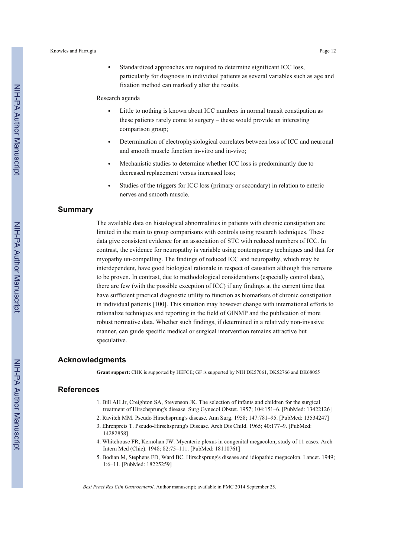**•** Standardized approaches are required to determine significant ICC loss, particularly for diagnosis in individual patients as several variables such as age and fixation method can markedly alter the results.

### Research agenda

- **•** Little to nothing is known about ICC numbers in normal transit constipation as these patients rarely come to surgery – these would provide an interesting comparison group;
- **•** Determination of electrophysiological correlates between loss of ICC and neuronal and smooth muscle function in-vitro and in-vivo;
- **•** Mechanistic studies to determine whether ICC loss is predominantly due to decreased replacement versus increased loss;
- **•** Studies of the triggers for ICC loss (primary or secondary) in relation to enteric nerves and smooth muscle.

### **Summary**

The available data on histological abnormalities in patients with chronic constipation are limited in the main to group comparisons with controls using research techniques. These data give consistent evidence for an association of STC with reduced numbers of ICC. In contrast, the evidence for neuropathy is variable using contemporary techniques and that for myopathy un-compelling. The findings of reduced ICC and neuropathy, which may be interdependent, have good biological rationale in respect of causation although this remains to be proven. In contrast, due to methodological considerations (especially control data), there are few (with the possible exception of ICC) if any findings at the current time that have sufficient practical diagnostic utility to function as biomarkers of chronic constipation in individual patients [100]. This situation may however change with international efforts to rationalize techniques and reporting in the field of GINMP and the publication of more robust normative data. Whether such findings, if determined in a relatively non-invasive manner, can guide specific medical or surgical intervention remains attractive but speculative.

### **Acknowledgments**

**Grant support:** CHK is supported by HEFCE; GF is supported by NIH DK57061, DK52766 and DK68055

### **References**

- 1. Bill AH Jr, Creighton SA, Stevenson JK. The selection of infants and children for the surgical treatment of Hirschsprung's disease. Surg Gynecol Obstet. 1957; 104:151–6. [PubMed: 13422126]
- 2. Ravitch MM. Pseudo Hirschsprung's disease. Ann Surg. 1958; 147:781–95. [PubMed: 13534247]
- 3. Ehrenpreis T. Pseudo-Hirschsprung's Disease. Arch Dis Child. 1965; 40:177–9. [PubMed: 14282858]
- 4. Whitehouse FR, Kernohan JW. Myenteric plexus in congenital megacolon; study of 11 cases. Arch Intern Med (Chic). 1948; 82:75–111. [PubMed: 18110761]
- 5. Bodian M, Stephens FD, Ward BC. Hirschsprung's disease and idiopathic megacolon. Lancet. 1949; 1:6–11. [PubMed: 18225259]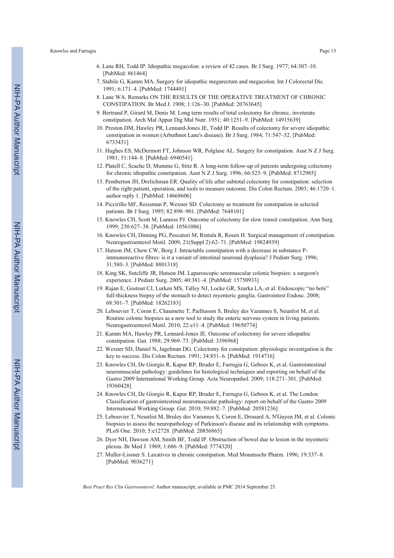- 6. Lane RH, Todd IP. Idiopathic megacolon: a review of 42 cases. Br J Surg. 1977; 64:307–10. [PubMed: 861464]
- 7. Stabile G, Kamm MA. Surgery for idiopathic megarectum and megacolon. Int J Colorectal Dis. 1991; 6:171–4. [PubMed: 1744491]
- 8. Lane WA. Remarks ON THE RESULTS OF THE OPERATIVE TREATMENT OF CHRONIC CONSTIPATION. Br Med J. 1908; 1:126–30. [PubMed: 20763645]
- 9. Bertrand P, Girard M, Denis M. Long term results of total colectomy for chronic, inveterate constipation. Arch Mal Appar Dig Mal Nutr. 1951; 40:1251–9. [PubMed: 14915639]
- 10. Preston DM, Hawley PR, Lennard-Jones JE, Todd IP. Results of colectomy for severe idiopathic constipation in women (Arbuthnot Lane's disease). Br J Surg. 1984; 71:547–52. [PubMed: 6733431]
- 11. Hughes ES, McDermott FT, Johnson WR, Polglase AL. Surgery for constipation. Aust N Z J Surg. 1981; 51:144–8. [PubMed: 6940541]
- 12. Platell C, Scache D, Mumme G, Stitz R. A long-term follow-up of patients undergoing colectomy for chronic idiopathic constipation. Aust N Z J Surg. 1996; 66:525–9. [PubMed: 8712985]
- 13. Pemberton JH, Drelichman ER. Quality of life after subtotal colectomy for constipation: selection of the right patient, operation, and tools to measure outcome. Dis Colon Rectum. 2003; 46:1720–1. author reply 1. [PubMed: 14668606]
- 14. Piccirillo MF, Reissman P, Wexner SD. Colectomy as treatment for constipation in selected patients. Br J Surg. 1995; 82:898–901. [PubMed: 7648101]
- 15. Knowles CH, Scott M, Lunniss PJ. Outcome of colectomy for slow transit constipation. Ann Surg. 1999; 230:627–38. [PubMed: 10561086]
- 16. Knowles CH, Dinning PG, Pescatori M, Rintala R, Rosen H. Surgical management of constipation. Neurogastroenterol Motil. 2009; 21(Suppl 2):62–71. [PubMed: 19824939]
- 17. Hutson JM, Chow CW, Borg J. Intractable constipation with a decrease in substance Pimmunoreactive fibres: is it a variant of intestinal neuronal dysplasia? J Pediatr Surg. 1996; 31:580–3. [PubMed: 8801318]
- 18. King SK, Sutcliffe JR, Hutson JM. Laparoscopic seromuscular colonic biopsies: a surgeon's experience. J Pediatr Surg. 2005; 40:381–4. [PubMed: 15750933]
- 19. Rajan E, Gostout CJ, Lurken MS, Talley NJ, Locke GR, Szarka LA, et al. Endoscopic "no hole" full-thickness biopsy of the stomach to detect myenteric ganglia. Gastrointest Endosc. 2008; 68:301–7. [PubMed: 18262183]
- 20. Lebouvier T, Coron E, Chaumette T, Paillusson S, Bruley des Varannes S, Neunlist M, et al. Routine colonic biopsies as a new tool to study the enteric nervous system in living patients. Neurogastroenterol Motil. 2010; 22:e11–4. [PubMed: 19650774]
- 21. Kamm MA, Hawley PR, Lennard-Jones JE. Outcome of colectomy for severe idiopathic constipation. Gut. 1988; 29:969–73. [PubMed: 3396968]
- 22. Wexner SD, Daniel N, Jagelman DG. Colectomy for constipation: physiologic investigation is the key to success. Dis Colon Rectum. 1991; 34:851–6. [PubMed: 1914716]
- 23. Knowles CH, De Giorgio R, Kapur RP, Bruder E, Farrugia G, Geboes K, et al. Gastrointestinal neuromuscular pathology: guidelines for histological techniques and reporting on behalf of the Gastro 2009 International Working Group. Acta Neuropathol. 2009; 118:271–301. [PubMed: 19360428]
- 24. Knowles CH, De Giorgio R, Kapur RP, Bruder E, Farrugia G, Geboes K, et al. The London Classification of gastrointestinal neuromuscular pathology: report on behalf of the Gastro 2009 International Working Group. Gut. 2010; 59:882–7. [PubMed: 20581236]
- 25. Lebouvier T, Neunlist M, Bruley des Varannes S, Coron E, Drouard A, N'Guyen JM, et al. Colonic biopsies to assess the neuropathology of Parkinson's disease and its relationship with symptoms. PLoS One. 2010; 5:e12728. [PubMed: 20856865]
- 26. Dyer NH, Dawson AM, Smith BF, Todd IP. Obstruction of bowel due to lesion in the myenteric plexus. Br Med J. 1969; 1:686–9. [PubMed: 5774320]
- 27. Muller-Lissner S. Laxatives in chronic constipation. Med Monatsschr Pharm. 1996; 19:337–8. [PubMed: 9036271]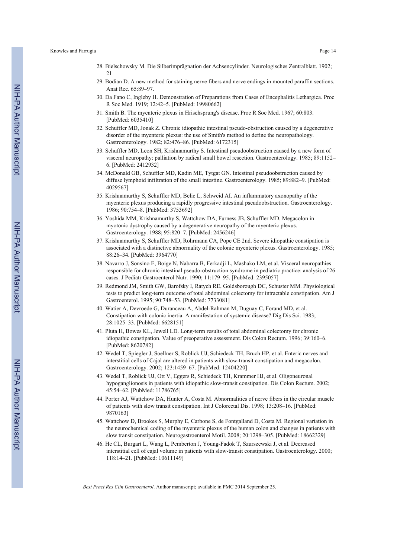- 28. Bielschowsky M. Die Silberimprägnation der Achsencylinder. Neurologisches Zentralblatt. 1902; 21
- 29. Bodian D. A new method for staining nerve fibers and nerve endings in mounted paraffin sections. Anat Rec. 65:89–97.
- 30. Da Fano C, Ingleby H. Demonstration of Preparations from Cases of Encephalitis Lethargica. Proc R Soc Med. 1919; 12:42–5. [PubMed: 19980662]
- 31. Smith B. The myenteric plexus in Hrischsprung's disease. Proc R Soc Med. 1967; 60:803. [PubMed: 6035410]
- 32. Schuffler MD, Jonak Z. Chronic idiopathic intestinal pseudo-obstruction caused by a degenerative disorder of the myenteric plexus: the use of Smith's method to define the neuropathology. Gastroenterology. 1982; 82:476–86. [PubMed: 6172315]
- 33. Schuffler MD, Leon SH, Krishnamurthy S. Intestinal pseudoobstruction caused by a new form of visceral neuropathy: palliation by radical small bowel resection. Gastroenterology. 1985; 89:1152– 6. [PubMed: 2412932]
- 34. McDonald GB, Schuffler MD, Kadin ME, Tytgat GN. Intestinal pseudoobstruction caused by diffuse lymphoid infiltration of the small intestine. Gastroenterology. 1985; 89:882–9. [PubMed: 4029567]
- 35. Krishnamurthy S, Schuffler MD, Belic L, Schweid AI. An inflammatory axonopathy of the myenteric plexus producing a rapidly progressive intestinal pseudoobstruction. Gastroenterology. 1986; 90:754–8. [PubMed: 3753692]
- 36. Yoshida MM, Krishnamurthy S, Wattchow DA, Furness JB, Schuffler MD. Megacolon in myotonic dystrophy caused by a degenerative neuropathy of the myenteric plexus. Gastroenterology. 1988; 95:820–7. [PubMed: 2456246]
- 37. Krishnamurthy S, Schuffler MD, Rohrmann CA, Pope CE 2nd. Severe idiopathic constipation is associated with a distinctive abnormality of the colonic myenteric plexus. Gastroenterology. 1985; 88:26–34. [PubMed: 3964770]
- 38. Navarro J, Sonsino E, Boige N, Nabarra B, Ferkadji L, Mashako LM, et al. Visceral neuropathies responsible for chronic intestinal pseudo-obstruction syndrome in pediatric practice: analysis of 26 cases. J Pediatr Gastroenterol Nutr. 1990; 11:179–95. [PubMed: 2395057]
- 39. Redmond JM, Smith GW, Barofsky I, Ratych RE, Goldsborough DC, Schuster MM. Physiological tests to predict long-term outcome of total abdominal colectomy for intractable constipation. Am J Gastroenterol. 1995; 90:748–53. [PubMed: 7733081]
- 40. Watier A, Devroede G, Duranceau A, Abdel-Rahman M, Duguay C, Forand MD, et al. Constipation with colonic inertia. A manifestation of systemic disease? Dig Dis Sci. 1983; 28:1025–33. [PubMed: 6628151]
- 41. Pluta H, Bowes KL, Jewell LD. Long-term results of total abdominal colectomy for chronic idiopathic constipation. Value of preoperative assessment. Dis Colon Rectum. 1996; 39:160–6. [PubMed: 8620782]
- 42. Wedel T, Spiegler J, Soellner S, Roblick UJ, Schiedeck TH, Bruch HP, et al. Enteric nerves and interstitial cells of Cajal are altered in patients with slow-transit constipation and megacolon. Gastroenterology. 2002; 123:1459–67. [PubMed: 12404220]
- 43. Wedel T, Roblick UJ, Ott V, Eggers R, Schiedeck TH, Krammer HJ, et al. Oligoneuronal hypoganglionosis in patients with idiopathic slow-transit constipation. Dis Colon Rectum. 2002; 45:54–62. [PubMed: 11786765]
- 44. Porter AJ, Wattchow DA, Hunter A, Costa M. Abnormalities of nerve fibers in the circular muscle of patients with slow transit constipation. Int J Colorectal Dis. 1998; 13:208–16. [PubMed: 9870163]
- 45. Wattchow D, Brookes S, Murphy E, Carbone S, de Fontgalland D, Costa M. Regional variation in the neurochemical coding of the myenteric plexus of the human colon and changes in patients with slow transit constipation. Neurogastroenterol Motil. 2008; 20:1298–305. [PubMed: 18662329]
- 46. He CL, Burgart L, Wang L, Pemberton J, Young-Fadok T, Szurszewski J, et al. Decreased interstitial cell of cajal volume in patients with slow-transit constipation. Gastroenterology. 2000; 118:14–21. [PubMed: 10611149]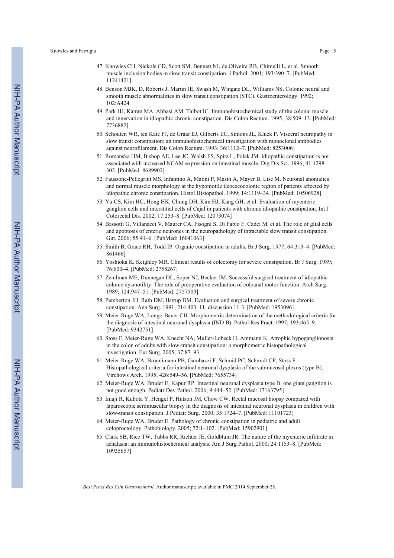- 47. Knowles CH, Nickols CD, Scott SM, Bennett NI, de Oliveira RB, Chimelli L, et al. Smooth muscle inclusion bodies in slow transit constipation. J Pathol. 2001; 193:390–7. [PubMed: 11241421]
- 48. Benson MJK, D, Roberts J, Martin JE, Swash M, Wingate DL, Williams NS. Colonic neural and smooth muscle abnormalities in slow transit constipation (STC). Gastroenterology. 1992;  $102.4424$
- 49. Park HJ, Kamm MA, Abbasi AM, Talbot IC. Immunohistochemical study of the colonic muscle and innervation in idiopathic chronic constipation. Dis Colon Rectum. 1995; 38:509–13. [PubMed: 7736882]
- 50. Schouten WR, ten Kate FJ, de Graaf EJ, Gilberts EC, Simons JL, Kluck P. Visceral neuropathy in slow transit constipation: an immunohistochemical investigation with monoclonal antibodies against neurofilament. Dis Colon Rectum. 1993; 36:1112–7. [PubMed: 8253006]
- 51. Romanska HM, Bishop AE, Lee JC, Walsh FS, Spitz L, Polak JM. Idiopathic constipation is not associated with increased NCAM expression on intestinal muscle. Dig Dis Sci. 1996; 41:1298– 302. [PubMed: 8689902]
- 52. Faussone-Pellegrini MS, Infantino A, Matini P, Masin A, Mayer B, Lise M. Neuronal anomalies and normal muscle morphology at the hypomotile ileocecocolonic region of patients affected by idiopathic chronic constipation. Histol Histopathol. 1999; 14:1119–34. [PubMed: 10506928]
- 53. Yu CS, Kim HC, Hong HK, Chung DH, Kim HJ, Kang GH, et al. Evaluation of myenteric ganglion cells and interstitial cells of Cajal in patients with chronic idiopathic constipation. Int J Colorectal Dis. 2002; 17:253–8. [PubMed: 12073074]
- 54. Bassotti G, Villanacci V, Maurer CA, Fisogni S, Di Fabio F, Cadei M, et al. The role of glial cells and apoptosis of enteric neurones in the neuropathology of intractable slow transit constipation. Gut. 2006; 55:41–6. [PubMed: 16041063]
- 55. Smith B, Grace RH, Todd IP. Organic constipation in adults. Br J Surg. 1977; 64:313–4. [PubMed: 861466]
- 56. Yoshioka K, Keighley MR. Clinical results of colectomy for severe constipation. Br J Surg. 1989; 76:600–4. [PubMed: 2758267]
- 57. Zenilman ME, Dunnegan DL, Soper NJ, Becker JM. Successful surgical treatment of idiopathic colonic dysmotility. The role of preoperative evaluation of coloanal motor function. Arch Surg. 1989; 124:947–51. [PubMed: 2757509]
- 58. Pemberton JH, Rath DM, Ilstrup DM. Evaluation and surgical treatment of severe chronic constipation. Ann Surg. 1991; 214:403–11. discussion 11-3. [PubMed: 1953096]
- 59. Meier-Ruge WA, Longo-Bauer CH. Morphometric determination of the methodological criteria for the diagnosis of intestinal neuronal dysplasia (IND B). Pathol Res Pract. 1997; 193:465–9. [PubMed: 9342751]
- 60. Stoss F, Meier-Ruge WA, Knecht NA, Muller-Lobeck H, Ammann K. Atrophic hypoganglionosis in the colon of adults with slow-transit constipation: a morphometric histopathological investigation. Eur Surg. 2005; 37:87–93.
- 61. Meier-Ruge WA, Bronnimann PB, Gambazzi F, Schmid PC, Schmidt CP, Stoss F. Histopathological criteria for intestinal neuronal dysplasia of the submucosal plexus (type B). Virchows Arch. 1995; 426:549–56. [PubMed: 7655734]
- 62. Meier-Ruge WA, Bruder E, Kapur RP. Intestinal neuronal dysplasia type B: one giant ganglion is not good enough. Pediatr Dev Pathol. 2006; 9:444–52. [PubMed: 17163795]
- 63. Imaji R, Kubota Y, Hengel P, Hutson JM, Chow CW. Rectal mucosal biopsy compared with laparoscopic seromuscular biopsy in the diagnosis of intestinal neuronal dysplasia in children with slow-transit constipation. J Pediatr Surg. 2000; 35:1724–7. [PubMed: 11101723]
- 64. Meier-Ruge WA, Bruder E. Pathology of chronic constipation in pediatric and adult coloproctology. Pathobiology. 2005; 72:1–102. [PubMed: 15902901]
- 65. Clark SB, Rice TW, Tubbs RR, Richter JE, Goldblum JR. The nature of the myenteric infiltrate in achalasia: an immunohistochemical analysis. Am J Surg Pathol. 2000; 24:1153–8. [PubMed: 10935657]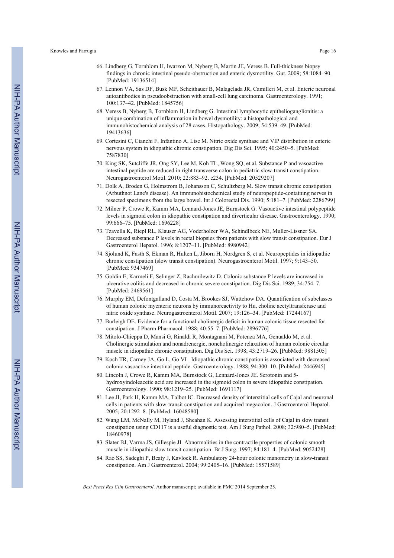- 66. Lindberg G, Tornblom H, Iwarzon M, Nyberg B, Martin JE, Veress B. Full-thickness biopsy findings in chronic intestinal pseudo-obstruction and enteric dysmotility. Gut. 2009; 58:1084–90. [PubMed: 19136514]
- 67. Lennon VA, Sas DF, Busk MF, Scheithauer B, Malagelada JR, Camilleri M, et al. Enteric neuronal autoantibodies in pseudoobstruction with small-cell lung carcinoma. Gastroenterology. 1991; 100:137–42. [PubMed: 1845756]
- 68. Veress B, Nyberg B, Tornblom H, Lindberg G. Intestinal lymphocytic epithelioganglionitis: a unique combination of inflammation in bowel dysmotility: a histopathological and immunohistochemical analysis of 28 cases. Histopathology. 2009; 54:539–49. [PubMed: 19413636]
- 69. Cortesini C, Cianchi F, Infantino A, Lise M. Nitric oxide synthase and VIP distribution in enteric nervous system in idiopathic chronic constipation. Dig Dis Sci. 1995; 40:2450–5. [PubMed: 7587830]
- 70. King SK, Sutcliffe JR, Ong SY, Lee M, Koh TL, Wong SQ, et al. Substance P and vasoactive intestinal peptide are reduced in right transverse colon in pediatric slow-transit constipation. Neurogastroenterol Motil. 2010; 22:883–92. e234. [PubMed: 20529207]
- 71. Dolk A, Broden G, Holmstrom B, Johansson C, Schultzberg M. Slow transit chronic constipation (Arbuthnot Lane's disease). An immunohistochemical study of neuropeptide-containing nerves in resected specimens from the large bowel. Int J Colorectal Dis. 1990; 5:181–7. [PubMed: 2286799]
- 72. Milner P, Crowe R, Kamm MA, Lennard-Jones JE, Burnstock G. Vasoactive intestinal polypeptide levels in sigmoid colon in idiopathic constipation and diverticular disease. Gastroenterology. 1990; 99:666–75. [PubMed: 1696228]
- 73. Tzavella K, Riepl RL, Klauser AG, Voderholzer WA, Schindlbeck NE, Muller-Lissner SA. Decreased substance P levels in rectal biopsies from patients with slow transit constipation. Eur J Gastroenterol Hepatol. 1996; 8:1207–11. [PubMed: 8980942]
- 74. Sjolund K, Fasth S, Ekman R, Hulten L, Jiborn H, Nordgren S, et al. Neuropeptides in idiopathic chronic constipation (slow transit constipation). Neurogastroenterol Motil. 1997; 9:143–50. [PubMed: 9347469]
- 75. Goldin E, Karmeli F, Selinger Z, Rachmilewitz D. Colonic substance P levels are increased in ulcerative colitis and decreased in chronic severe constipation. Dig Dis Sci. 1989; 34:754–7. [PubMed: 2469561]
- 76. Murphy EM, Defontgalland D, Costa M, Brookes SJ, Wattchow DA. Quantification of subclasses of human colonic myenteric neurons by immunoreactivity to Hu, choline acetyltransferase and nitric oxide synthase. Neurogastroenterol Motil. 2007; 19:126–34. [PubMed: 17244167]
- 77. Burleigh DE. Evidence for a functional cholinergic deficit in human colonic tissue resected for constipation. J Pharm Pharmacol. 1988; 40:55–7. [PubMed: 2896776]
- 78. Mitolo-Chieppa D, Mansi G, Rinaldi R, Montagnani M, Potenza MA, Genualdo M, et al. Cholinergic stimulation and nonadrenergic, noncholinergic relaxation of human colonic circular muscle in idiopathic chronic constipation. Dig Dis Sci. 1998; 43:2719–26. [PubMed: 9881505]
- 79. Koch TR, Carney JA, Go L, Go VL. Idiopathic chronic constipation is associated with decreased colonic vasoactive intestinal peptide. Gastroenterology. 1988; 94:300–10. [PubMed: 2446945]
- 80. Lincoln J, Crowe R, Kamm MA, Burnstock G, Lennard-Jones JE. Serotonin and 5 hydroxyindoleacetic acid are increased in the sigmoid colon in severe idiopathic constipation. Gastroenterology. 1990; 98:1219–25. [PubMed: 1691117]
- 81. Lee JI, Park H, Kamm MA, Talbot IC. Decreased density of interstitial cells of Cajal and neuronal cells in patients with slow-transit constipation and acquired megacolon. J Gastroenterol Hepatol. 2005; 20:1292–8. [PubMed: 16048580]
- 82. Wang LM, McNally M, Hyland J, Sheahan K. Assessing interstitial cells of Cajal in slow transit constipation using CD117 is a useful diagnostic test. Am J Surg Pathol. 2008; 32:980–5. [PubMed: 18460978]
- 83. Slater BJ, Varma JS, Gillespie JI. Abnormalities in the contractile properties of colonic smooth muscle in idiopathic slow transit constipation. Br J Surg. 1997; 84:181–4. [PubMed: 9052428]
- 84. Rao SS, Sadeghi P, Beaty J, Kavlock R. Ambulatory 24-hour colonic manometry in slow-transit constipation. Am J Gastroenterol. 2004; 99:2405–16. [PubMed: 15571589]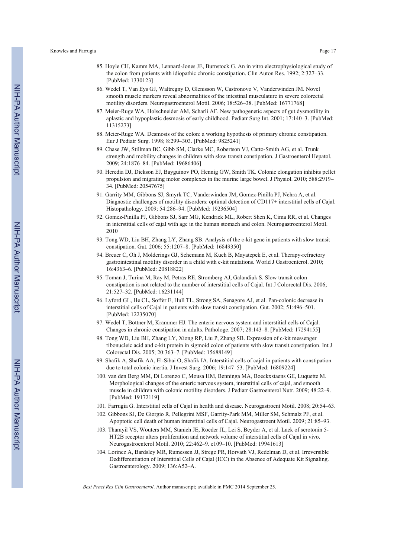- 85. Hoyle CH, Kamm MA, Lennard-Jones JE, Burnstock G. An in vitro electrophysiological study of the colon from patients with idiopathic chronic constipation. Clin Auton Res. 1992; 2:327–33. [PubMed: 1330123]
- 86. Wedel T, Van Eys GJ, Waltregny D, Glenisson W, Castronovo V, Vanderwinden JM. Novel smooth muscle markers reveal abnormalities of the intestinal musculature in severe colorectal motility disorders. Neurogastroenterol Motil. 2006; 18:526–38. [PubMed: 16771768]
- 87. Meier-Ruge WA, Holschneider AM, Scharli AF. New pathogenetic aspects of gut dysmotility in aplastic and hypoplastic desmosis of early childhood. Pediatr Surg Int. 2001; 17:140–3. [PubMed: 11315273]
- 88. Meier-Ruge WA. Desmosis of the colon: a working hypothesis of primary chronic constipation. Eur J Pediatr Surg. 1998; 8:299–303. [PubMed: 9825241]
- 89. Chase JW, Stillman BC, Gibb SM, Clarke MC, Robertson VJ, Catto-Smith AG, et al. Trunk strength and mobility changes in children with slow transit constipation. J Gastroenterol Hepatol. 2009; 24:1876–84. [PubMed: 19686406]
- 90. Heredia DJ, Dickson EJ, Bayguinov PO, Hennig GW, Smith TK. Colonic elongation inhibits pellet propulsion and migrating motor complexes in the murine large bowel. J Physiol. 2010; 588:2919– 34. [PubMed: 20547675]
- 91. Garrity MM, Gibbons SJ, Smyrk TC, Vanderwinden JM, Gomez-Pinilla PJ, Nehra A, et al. Diagnostic challenges of motility disorders: optimal detection of CD117+ interstitial cells of Cajal. Histopathology. 2009; 54:286–94. [PubMed: 19236504]
- 92. Gomez-Pinilla PJ, Gibbons SJ, Sarr MG, Kendrick ML, Robert Shen K, Cima RR, et al. Changes in interstitial cells of cajal with age in the human stomach and colon. Neurogastroenterol Motil. 2010
- 93. Tong WD, Liu BH, Zhang LY, Zhang SB. Analysis of the c-kit gene in patients with slow transit constipation. Gut. 2006; 55:1207–8. [PubMed: 16849350]
- 94. Breuer C, Oh J, Molderings GJ, Schemann M, Kuch B, Mayatepek E, et al. Therapy-refractory gastrointestinal motility disorder in a child with c-kit mutations. World J Gastroenterol. 2010; 16:4363–6. [PubMed: 20818822]
- 95. Toman J, Turina M, Ray M, Petras RE, Stromberg AJ, Galandiuk S. Slow transit colon constipation is not related to the number of interstitial cells of Cajal. Int J Colorectal Dis. 2006; 21:527–32. [PubMed: 16231144]
- 96. Lyford GL, He CL, Soffer E, Hull TL, Strong SA, Senagore AJ, et al. Pan-colonic decrease in interstitial cells of Cajal in patients with slow transit constipation. Gut. 2002; 51:496–501. [PubMed: 12235070]
- 97. Wedel T, Bottner M, Krammer HJ. The enteric nervous system and interstitial cells of Cajal. Changes in chronic constipation in adults. Pathologe. 2007; 28:143–8. [PubMed: 17294155]
- 98. Tong WD, Liu BH, Zhang LY, Xiong RP, Liu P, Zhang SB. Expression of c-kit messenger ribonucleic acid and c-kit protein in sigmoid colon of patients with slow transit constipation. Int J Colorectal Dis. 2005; 20:363–7. [PubMed: 15688149]
- 99. Shafik A, Shafik AA, El-Sibai O, Shafik IA. Interstitial cells of cajal in patients with constipation due to total colonic inertia. J Invest Surg. 2006; 19:147–53. [PubMed: 16809224]
- 100. van den Berg MM, Di Lorenzo C, Mousa HM, Benninga MA, Boeckxstaens GE, Luquette M. Morphological changes of the enteric nervous system, interstitial cells of cajal, and smooth muscle in children with colonic motility disorders. J Pediatr Gastroenterol Nutr. 2009; 48:22–9. [PubMed: 19172119]
- 101. Farrugia G. Interstitial cells of Cajal in health and disease. Neurogastroent Motil. 2008; 20:54–63.
- 102. Gibbons SJ, De Giorgio R, Pellegrini MSF, Garrity-Park MM, Miller SM, Schmalz PF, et al. Apoptotic cell death of human interstitial cells of Cajal. Neurogastroent Motil. 2009; 21:85–93.
- 103. Tharayil VS, Wouters MM, Stanich JE, Roeder JL, Lei S, Beyder A, et al. Lack of serotonin 5- HT2B receptor alters proliferation and network volume of interstitial cells of Cajal in vivo. Neurogastroenterol Motil. 2010; 22:462–9. e109–10. [PubMed: 19941613]
- 104. Lorincz A, Bardsley MR, Rumessen JJ, Strege PR, Horvath VJ, Redelman D, et al. Irreversible Dedifferentiation of Interstitial Cells of Cajal (ICC) in the Absence of Adequate Kit Signaling. Gastroenterology. 2009; 136:A52–A.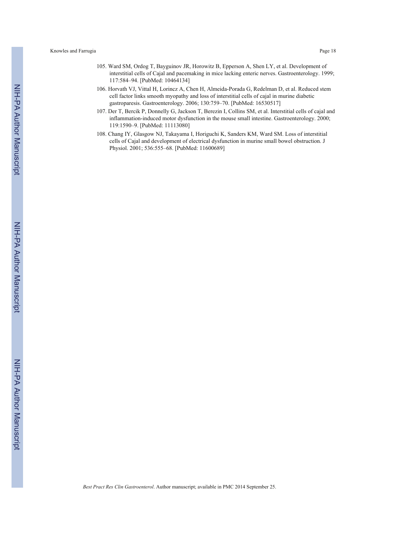- 105. Ward SM, Ordog T, Bayguinov JR, Horowitz B, Epperson A, Shen LY, et al. Development of interstitial cells of Cajal and pacemaking in mice lacking enteric nerves. Gastroenterology. 1999; 117:584–94. [PubMed: 10464134]
- 106. Horvath VJ, Vittal H, Lorincz A, Chen H, Almeida-Porada G, Redelman D, et al. Reduced stem cell factor links smooth myopathy and loss of interstitial cells of cajal in murine diabetic gastroparesis. Gastroenterology. 2006; 130:759–70. [PubMed: 16530517]
- 107. Der T, Bercik P, Donnelly G, Jackson T, Berezin I, Collins SM, et al. Interstitial cells of cajal and inflammation-induced motor dysfunction in the mouse small intestine. Gastroenterology. 2000; 119:1590–9. [PubMed: 11113080]
- 108. Chang IY, Glasgow NJ, Takayama I, Horiguchi K, Sanders KM, Ward SM. Loss of interstitial cells of Cajal and development of electrical dysfunction in murine small bowel obstruction. J Physiol. 2001; 536:555–68. [PubMed: 11600689]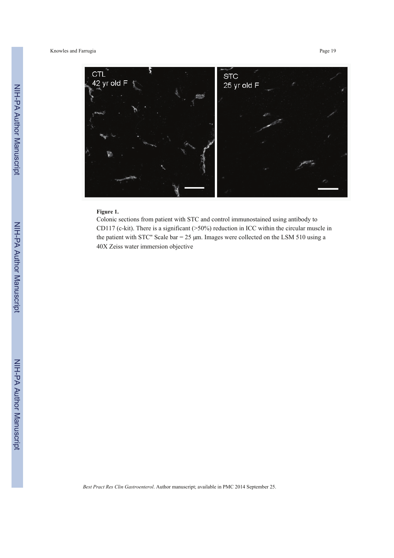

### **Figure 1.**

Colonic sections from patient with STC and control immunostained using antibody to CD117 (c-kit). There is a significant (>50%) reduction in ICC within the circular muscle in the patient with STC" Scale bar = 25 µm. Images were collected on the LSM 510 using a 40X Zeiss water immersion objective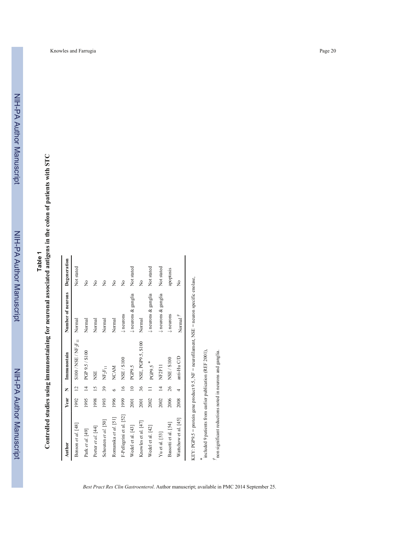# Controlled studies using immunostaining for neuronal associated antigens in the colon of patients with STC **Controlled studies using immunostaining for neuronal associated antigens in the colon of patients with STC**

| Author                   | Year | Z              | Immunostain               | Number of neurons              | Degeneration |
|--------------------------|------|----------------|---------------------------|--------------------------------|--------------|
| Benson et al. [48]       | 1992 | $\overline{a}$ | $S100 / NSE / NF_2F_{11}$ | Normal                         | Not stated   |
| Park et al. [49]         | 1995 | $\overline{4}$ | PGP 9.5 / S100            | Normal                         | ž            |
| Porter et al. [44]       | 1998 | $\overline{5}$ | <b>NSE</b>                | Normal                         | ż            |
| Schouten et al. [50]     | 1993 | 39             | $\rm NF_2F_{11}$          | Normal                         | ż            |
| Romanska et al. [51]     | 1996 | $\circ$        | <b>NCAM</b>               | Normal                         | ż            |
| F-Pellegrini et al. [52] | 1999 | $\leq$         | NSE/S100                  | $\downarrow$ neurons           | ż            |
| Wedel et al. [43]        | 2001 | $\supseteq$    | PGP9.5                    | $\downarrow$ neurons & ganglia | Not stated   |
| Knowles et al. [47]      | 2001 | 36             | NSE, PGP9.5, S100         | Normal                         | ż            |
| Wedel et al. [42]        | 2002 | $\equiv$       | PGP9.5*                   | $\downarrow$ neurons & ganglia | Not stated   |
| Yu et al. $[53]$         | 2002 | $\overline{4}$ | <b>NF2F11</b>             | $\downarrow$ neurons & ganglia | Not stated   |
| Bassotti et al. [54]     | 2006 | 26             | NSE/S100                  | $\downarrow$ neurons           | apoptosis    |
| Wattchow et al. [45]     | 2008 | 4              | anti-Hu C/D               | Normal $\vec{r}$               | ž            |

*Best Pract Res Clin Gastroenterol*. Author manuscript; available in PMC 2014 September 25.

\* included 9 patients from earlier publication (REF 2001), included 9 patients from earlier publication (REF 2001), *†*non significant reductions noted in neurons and ganglia.

 $\dot{r}$  non significant reductions noted in neurons and ganglia.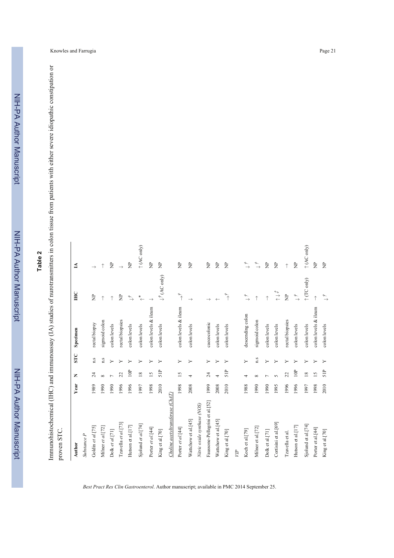NIH-PA Author Manuscript NIH-PA Author Manuscript

| г |  |
|---|--|
| ۰ |  |
|   |  |

Immunohistochemical (IHC) and immunoassay (IA) studies of nurotransmitters in colon tissue from patients with either severe idiopathic constipation or Immunohistochemical (IHC) and immunoassay (IA) studies of nurotransmitters in colon tissue from patients with either severe idiopathic constipation or  $\vec{p}$ 

| proven STC                       |      |                 |            |                      |                                                             |                                         |
|----------------------------------|------|-----------------|------------|----------------------|-------------------------------------------------------------|-----------------------------------------|
| Author                           | Year | z               | <b>STC</b> | Specimen             | $\Xi$                                                       | ₫                                       |
| Substance P                      |      |                 |            |                      |                                                             |                                         |
| Goldin et al.[75]                | 1989 | 24              | n.s        | rectal biopsy        | $\overline{z}$                                              | $\rightarrow$                           |
| Milner et al.[72]                | 1990 | $\infty$        | n.s        | sigmoid colon        | $\uparrow$                                                  | $\uparrow$                              |
| Dolk et al.[71]                  | 1990 | $\overline{ }$  | ≻          | colon levels         | $\uparrow$                                                  | $\approx$                               |
| Tzavella et al.[73]              | 1996 | 22              | ≻          | rectal biopsies      | $\hat{\Xi}$                                                 | $\rightarrow$                           |
| Hutson et al.[17]                | 1996 | 10P             | ≻          | colon levels         | $\stackrel{\text{+}}{\rightarrow}$                          | $\overline{z}$                          |
| Sjolund et al.[74]               | 1997 | $^{18}$         | ≻          | colon levels         |                                                             | † (AC only)                             |
| Porter et al.[44]                | 1998 | 15              | ≻          | colon levels & ileum |                                                             | $\mathrel{\uplus}$                      |
| King et al.[70]                  | 2010 | 51P             |            | colon levels         | $\downarrow^{\dagger}$ (AC only)                            | $\overline{z}$                          |
| Choline acetyltransferase (ChAT) |      |                 |            |                      |                                                             |                                         |
| Porter et al.[44]                | 1998 | 15              | >          | colon levels & ileum | $\uparrow$                                                  | $\overline{z}$                          |
| Wattchow et al.[45]              | 2008 | 4               | ≻          | colon levels         | $\rightarrow$                                               | $\overline{z}$                          |
| Nitric oxide synthase (NOS)      |      |                 |            |                      |                                                             |                                         |
| Faussone-Pellegrini et al.[52]   | 1999 | 24              |            | caecocolonic         |                                                             | $\mathrel{\uplus}$                      |
| Wattchow et al.[45]              | 2008 | 4               |            | colon levels         |                                                             | $\mathsf{\hat{z}}$                      |
| King et al.[70]                  | 2010 | 51P             |            | colon levels         | $\uparrow$                                                  | $\approx$                               |
| PР                               |      |                 |            |                      |                                                             |                                         |
| Koch et al.[79]                  | 1988 | 4               | ≻          | descending colon     | $\stackrel{\star}{\rightarrow}$                             | $\stackrel{+}{\rightarrow}$             |
| Milner et al.[72]                | 1990 | $\infty$        | n.s        | sigmoid colon        | $\uparrow$                                                  | $\stackrel{\textstyle{+}}{\rightarrow}$ |
| Dolk et al.[71]                  | 1990 | $\overline{ }$  | ≻          | colon levels         | ↑                                                           | $\hat{\Xi}$                             |
| Cortisini et al.[69]             | 1995 | $\sigma$        | ≻          | colon levels         | $\stackrel{\leftrightarrow}{\rightarrow} \uparrow \uparrow$ | $\hat{\Xi}$                             |
| Tzavella et al.                  | 1996 | 22              | ≻          | rectal biopsies      | $\overline{z}$                                              | $\uparrow$                              |
| Hutson et al.[17]                | 1996 | 10P             | ≻          | colon levels         | $\stackrel{\textstyle{+}}{\rightarrow}$                     | $\overline{\Xi}$                        |
| Sjolund et al.[74]               | 1997 | $^{18}$         | ≻          | colon levels         | t (TC only)                                                 | +(AC only)                              |
| Porter et al.[44]                | 1998 | $\overline{15}$ |            | colon levels & ileum |                                                             | $\mathsf{\hat{z}}$                      |
| King et al.[70]                  | 2010 | 51P             |            | colon levels         | $\stackrel{+}{\rightarrow}$                                 | $\overline{z}$                          |
|                                  |      |                 |            |                      |                                                             |                                         |

*Best Pract Res Clin Gastroenterol*. Author manuscript; available in PMC 2014 September 25.

Knowles and Farrugia Page 21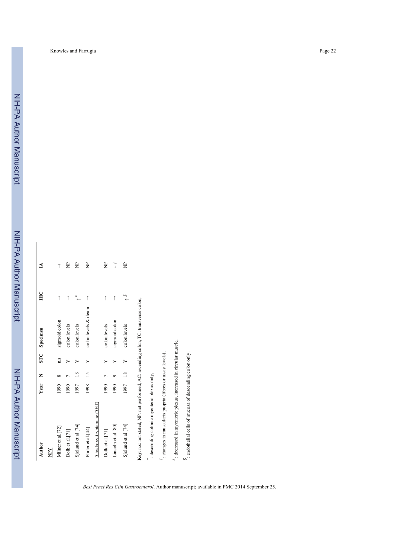NIH-PA Author Manuscript NIH-PA Author Manuscript

| Author                                                                                  | Year | Z               | STC | Specimen             | HC                         |                            |
|-----------------------------------------------------------------------------------------|------|-----------------|-----|----------------------|----------------------------|----------------------------|
| <b>ZdN</b>                                                                              |      |                 |     |                      |                            |                            |
| Milner et al.[72]                                                                       | 1990 | ∞               | 1.5 | sigmoid colon        | $\uparrow$                 | $\uparrow$                 |
| Dolk et al.[71]                                                                         | 1990 |                 | Σ   | colon levels         | ↑                          | È                          |
| Sjolund et al.[74]                                                                      | 1997 | $\frac{8}{18}$  | ≻   | colon levels         | $\stackrel{*}{\leftarrow}$ | È                          |
| Porter et al.[44]                                                                       | 1998 | $\overline{15}$ | ≻   | colon levels & ileum | ↑                          | È                          |
| 5 hydroxy-tryptamine (5HT)                                                              |      |                 |     |                      |                            |                            |
| Dolk et al.[71]                                                                         | 1990 | Γ               |     | colon levels         | $\uparrow$                 | È                          |
| Lincoln et al.[80]                                                                      | 1990 |                 |     | sigmoid colon        | $\uparrow$                 | $\stackrel{+}{\leftarrow}$ |
| Sjolund et al.[74]                                                                      | 1997 | $\frac{8}{2}$   | ≻   | colon levels         | $\frac{g}{f}$              | È                          |
| Key: n.s: not stated, NP: not performed, AC: ascending colon, TC: transverse colon,     |      |                 |     |                      |                            |                            |
| : descending colonic myenteric plexus only,                                             |      |                 |     |                      |                            |                            |
| $\dot{\mathcal{T}}$ : changes in muscularis propria (fibres or assay levels),           |      |                 |     |                      |                            |                            |
| $\stackrel{\star}{\tau}$ ; decreased in myenteric plexus, increased in circular muscle, |      |                 |     |                      |                            |                            |
| $\stackrel{\$}{\!}$ : endothelial cells of mucosa of descending colon only.             |      |                 |     |                      |                            |                            |